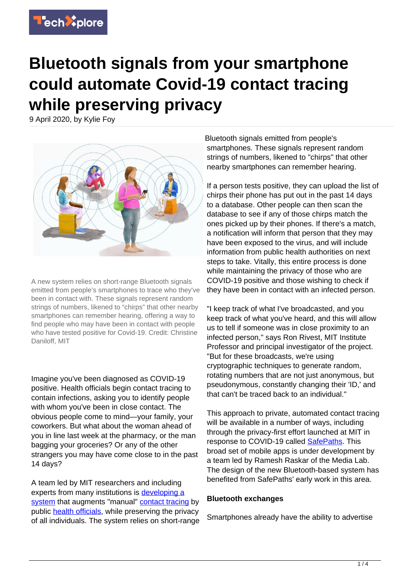

# **Bluetooth signals from your smartphone could automate Covid-19 contact tracing while preserving privacy**

9 April 2020, by Kylie Foy



A new system relies on short-range Bluetooth signals emitted from people's smartphones to trace who they've been in contact with. These signals represent random strings of numbers, likened to "chirps" that other nearby smartphones can remember hearing, offering a way to find people who may have been in contact with people who have tested positive for Covid-19. Credit: Christine Daniloff, MIT

Imagine you've been diagnosed as COVID-19 positive. Health officials begin contact tracing to contain infections, asking you to identify people with whom you've been in close contact. The obvious people come to mind—your family, your coworkers. But what about the woman ahead of you in line last week at the pharmacy, or the man bagging your groceries? Or any of the other strangers you may have come close to in the past 14 days?

A team led by MIT researchers and including experts from many institutions is [developing a](https://pact.mit.edu/) [system](https://pact.mit.edu/) that augments "manual" [contact tracing](https://techxplore.com/tags/contact+tracing/) by public [health officials,](https://techxplore.com/tags/health+officials/) while preserving the privacy of all individuals. The system relies on short-range

Bluetooth signals emitted from people's smartphones. These signals represent random strings of numbers, likened to "chirps" that other nearby smartphones can remember hearing.

If a person tests positive, they can upload the list of chirps their phone has put out in the past 14 days to a database. Other people can then scan the database to see if any of those chirps match the ones picked up by their phones. If there's a match, a notification will inform that person that they may have been exposed to the virus, and will include information from public health authorities on next steps to take. Vitally, this entire process is done while maintaining the privacy of those who are COVID-19 positive and those wishing to check if they have been in contact with an infected person.

"I keep track of what I've broadcasted, and you keep track of what you've heard, and this will allow us to tell if someone was in close proximity to an infected person," says Ron Rivest, MIT Institute Professor and principal investigator of the project. "But for these broadcasts, we're using cryptographic techniques to generate random, rotating numbers that are not just anonymous, but pseudonymous, constantly changing their 'ID,' and that can't be traced back to an individual."

This approach to private, automated contact tracing will be available in a number of ways, including through the privacy-first effort launched at MIT in response to COVID-19 called [SafePaths](http://safepaths.mit.edu/). This broad set of mobile apps is under development by a team led by Ramesh Raskar of the Media Lab. The design of the new Bluetooth-based system has benefited from SafePaths' early work in this area.

### **Bluetooth exchanges**

Smartphones already have the ability to advertise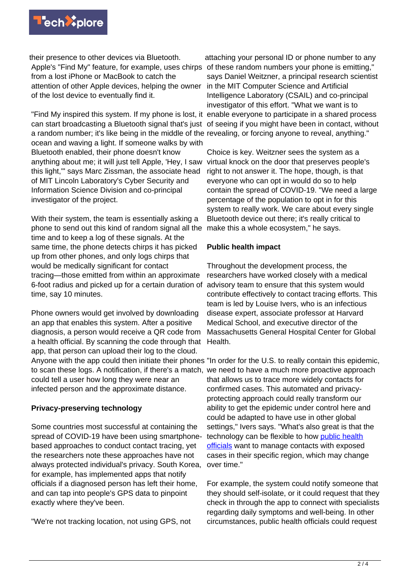

their presence to other devices via Bluetooth. Apple's "Find My" feature, for example, uses chirps of these random numbers your phone is emitting," from a lost iPhone or MacBook to catch the attention of other Apple devices, helping the owner of the lost device to eventually find it.

"Find My inspired this system. If my phone is lost, it enable everyone to participate in a shared process can start broadcasting a Bluetooth signal that's just of seeing if you might have been in contact, without a random number; it's like being in the middle of the revealing, or forcing anyone to reveal, anything." ocean and waving a light. If someone walks by with Bluetooth enabled, their phone doesn't know anything about me; it will just tell Apple, 'Hey, I saw this light,'" says Marc Zissman, the associate head of MIT Lincoln Laboratory's Cyber Security and Information Science Division and co-principal investigator of the project.

With their system, the team is essentially asking a phone to send out this kind of random signal all the time and to keep a log of these signals. At the same time, the phone detects chirps it has picked up from other phones, and only logs chirps that would be medically significant for contact tracing—those emitted from within an approximate 6-foot radius and picked up for a certain duration of advisory team to ensure that this system would time, say 10 minutes.

Phone owners would get involved by downloading an app that enables this system. After a positive diagnosis, a person would receive a QR code from a health official. By scanning the code through that app, that person can upload their log to the cloud. Anyone with the app could then initiate their phones "In order for the U.S. to really contain this epidemic, to scan these logs. A notification, if there's a match, we need to have a much more proactive approach could tell a user how long they were near an infected person and the approximate distance.

## **Privacy-preserving technology**

Some countries most successful at containing the spread of COVID-19 have been using smartphonebased approaches to conduct contact tracing, yet the researchers note these approaches have not always protected individual's privacy. South Korea, for example, has implemented apps that notify officials if a diagnosed person has left their home, and can tap into people's GPS data to pinpoint exactly where they've been.

"We're not tracking location, not using GPS, not

attaching your personal ID or phone number to any says Daniel Weitzner, a principal research scientist in the MIT Computer Science and Artificial Intelligence Laboratory (CSAIL) and co-principal investigator of this effort. "What we want is to

Choice is key. Weitzner sees the system as a virtual knock on the door that preserves people's right to not answer it. The hope, though, is that everyone who can opt in would do so to help contain the spread of COVID-19. "We need a large percentage of the population to opt in for this system to really work. We care about every single Bluetooth device out there; it's really critical to make this a whole ecosystem," he says.

### **Public health impact**

Throughout the development process, the researchers have worked closely with a medical contribute effectively to contact tracing efforts. This team is led by Louise Ivers, who is an infectious disease expert, associate professor at Harvard Medical School, and executive director of the Massachusetts General Hospital Center for Global Health.

that allows us to trace more widely contacts for confirmed cases. This automated and privacyprotecting approach could really transform our ability to get the epidemic under control here and could be adapted to have use in other global settings," Ivers says. "What's also great is that the technology can be flexible to how [public health](https://techxplore.com/tags/public+health+officials/) [officials](https://techxplore.com/tags/public+health+officials/) want to manage contacts with exposed cases in their specific region, which may change over time."

For example, the system could notify someone that they should self-isolate, or it could request that they check in through the app to connect with specialists regarding daily symptoms and well-being. In other circumstances, public health officials could request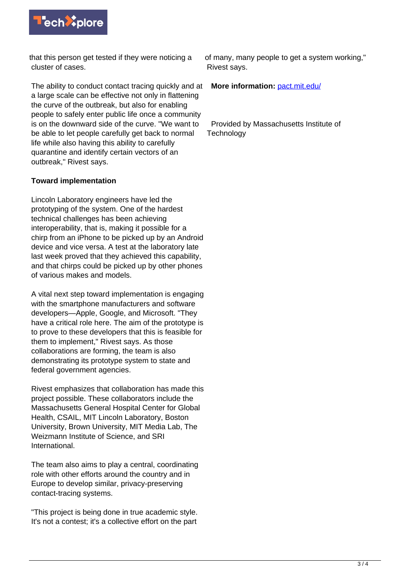

that this person get tested if they were noticing a cluster of cases.

The ability to conduct contact tracing quickly and at a large scale can be effective not only in flattening the curve of the outbreak, but also for enabling people to safely enter public life once a community is on the downward side of the curve. "We want to be able to let people carefully get back to normal life while also having this ability to carefully quarantine and identify certain vectors of an outbreak," Rivest says.

## **Toward implementation**

Lincoln Laboratory engineers have led the prototyping of the system. One of the hardest technical challenges has been achieving interoperability, that is, making it possible for a chirp from an iPhone to be picked up by an Android device and vice versa. A test at the laboratory late last week proved that they achieved this capability, and that chirps could be picked up by other phones of various makes and models.

A vital next step toward implementation is engaging with the smartphone manufacturers and software developers—Apple, Google, and Microsoft. "They have a critical role here. The aim of the prototype is to prove to these developers that this is feasible for them to implement," Rivest says. As those collaborations are forming, the team is also demonstrating its prototype system to state and federal government agencies.

Rivest emphasizes that collaboration has made this project possible. These collaborators include the Massachusetts General Hospital Center for Global Health, CSAIL, MIT Lincoln Laboratory, Boston University, Brown University, MIT Media Lab, The Weizmann Institute of Science, and SRI International.

The team also aims to play a central, coordinating role with other efforts around the country and in Europe to develop similar, privacy-preserving contact-tracing systems.

"This project is being done in true academic style. It's not a contest; it's a collective effort on the part

of many, many people to get a system working," Rivest says.

**More information:** [pact.mit.edu/](http://pact.mit.edu/)

 Provided by Massachusetts Institute of **Technology**